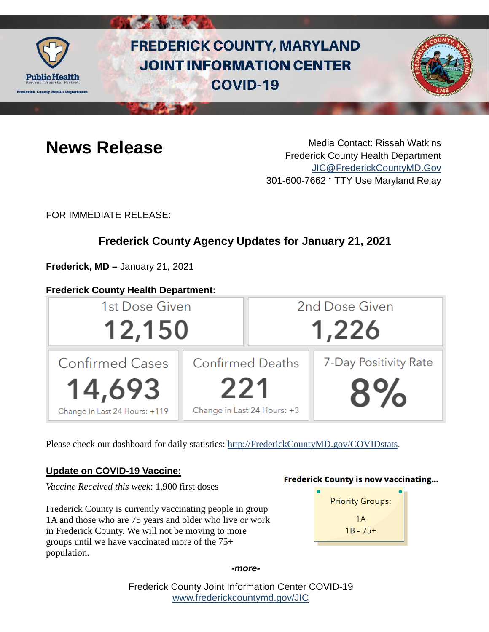

# **FREDERICK COUNTY, MARYLAND JOINT INFORMATION CENTER COVID-19**



**News Release** Media Contact: Rissah Watkins Frederick County Health Department [JIC@FrederickCountyMD.Gov](mailto:JIC@FrederickCountyMD.Gov) 301-600-7662 • TTY Use Maryland Relay

FOR IMMEDIATE RELEASE:

# **Frederick County Agency Updates for January 21, 2021**

**Frederick, MD –** January 21, 2021

#### **Frederick County Health Department:**



Please check our dashboard for daily statistics: [http://FrederickCountyMD.gov/COVIDstats.](http://frederickcountymd.gov/COVIDstats)

#### **Update on COVID-19 Vaccine:**

*Vaccine Received this week*: 1,900 first doses

Frederick County is currently vaccinating people in group 1A and those who are 75 years and older who live or work in Frederick County. We will not be moving to more groups until we have vaccinated more of the 75+ population.

#### **Frederick County is now vaccinating...**



*-more-*

Frederick County Joint Information Center COVID-19 [www.frederickcountymd.gov/JIC](https://frederickcountymd.gov/JIC)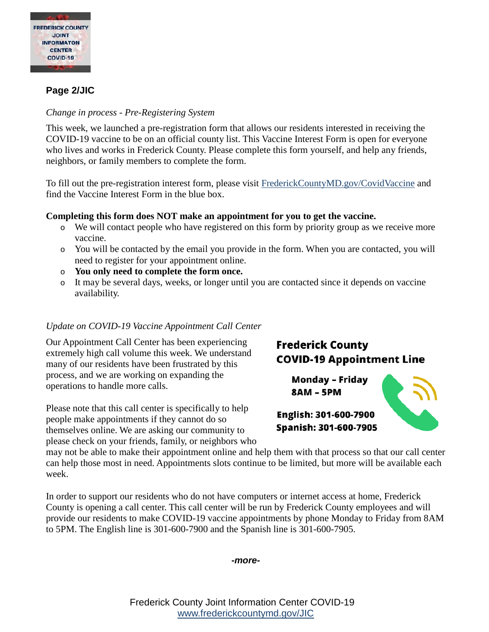

#### **Page 2/JIC**

#### *Change in process - Pre-Registering System*

This week, we launched a pre-registration form that allows our residents interested in receiving the COVID-19 vaccine to be on an official county list. This Vaccine Interest Form is open for everyone who lives and works in Frederick County. Please complete this form yourself, and help any friends, neighbors, or family members to complete the form.

To fill out the pre-registration interest form, please visit [FrederickCountyMD.gov/CovidVaccine](https://health.frederickcountymd.gov/629/COVID-19-Vaccine) and find the Vaccine Interest Form in the blue box.

#### **Completing this form does NOT make an appointment for you to get the vaccine.**

- o We will contact people who have registered on this form by priority group as we receive more vaccine.
- o You will be contacted by the email you provide in the form. When you are contacted, you will need to register for your appointment online.
- o **You only need to complete the form once.**
- o It may be several days, weeks, or longer until you are contacted since it depends on vaccine availability.

#### *Update on COVID-19 Vaccine Appointment Call Center*

Our Appointment Call Center has been experiencing extremely high call volume this week. We understand many of our residents have been frustrated by this process, and we are working on expanding the operations to handle more calls.

Please note that this call center is specifically to help people make appointments if they cannot do so themselves online. We are asking our community to please check on your friends, family, or neighbors who

## **Frederick County COVID-19 Appointment Line**

**Monday - Friday 8AM - 5PM** 



English: 301-600-7900 Spanish: 301-600-7905

may not be able to make their appointment online and help them with that process so that our call center can help those most in need. Appointments slots continue to be limited, but more will be available each week.

In order to support our residents who do not have computers or internet access at home, Frederick County is opening a call center. This call center will be run by Frederick County employees and will provide our residents to make COVID-19 vaccine appointments by phone Monday to Friday from 8AM to 5PM. The English line is 301-600-7900 and the Spanish line is 301-600-7905.



Frederick County Joint Information Center COVID-19 [www.frederickcountymd.gov/JIC](https://frederickcountymd.gov/JIC)